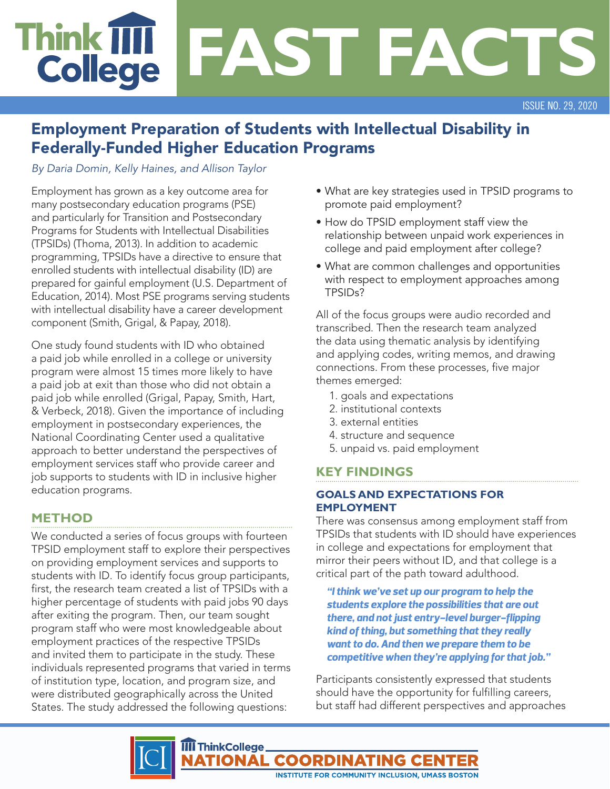# **Think T FAST FACTS College**

ISSUE NO. 29, 2020

## Employment Preparation of Students with Intellectual Disability in Federally-Funded Higher Education Programs

*By Daria Domin, Kelly Haines, and Allison Taylor*

Employment has grown as a key outcome area for many postsecondary education programs (PSE) and particularly for Transition and Postsecondary Programs for Students with Intellectual Disabilities (TPSIDs) (Thoma, 2013). In addition to academic programming, TPSIDs have a directive to ensure that enrolled students with intellectual disability (ID) are prepared for gainful employment (U.S. Department of Education, 2014). Most PSE programs serving students with intellectual disability have a career development component (Smith, Grigal, & Papay, 2018).

One study found students with ID who obtained a paid job while enrolled in a college or university program were almost 15 times more likely to have a paid job at exit than those who did not obtain a paid job while enrolled (Grigal, Papay, Smith, Hart, & Verbeck, 2018). Given the importance of including employment in postsecondary experiences, the National Coordinating Center used a qualitative approach to better understand the perspectives of employment services staff who provide career and job supports to students with ID in inclusive higher education programs.

## **METHOD**

We conducted a series of focus groups with fourteen TPSID employment staff to explore their perspectives on providing employment services and supports to students with ID. To identify focus group participants, first, the research team created a list of TPSIDs with a higher percentage of students with paid jobs 90 days after exiting the program. Then, our team sought program staff who were most knowledgeable about employment practices of the respective TPSIDs and invited them to participate in the study. These individuals represented programs that varied in terms of institution type, location, and program size, and were distributed geographically across the United States. The study addressed the following questions:

- What are key strategies used in TPSID programs to promote paid employment?
- How do TPSID employment staff view the relationship between unpaid work experiences in college and paid employment after college?
- What are common challenges and opportunities with respect to employment approaches among TPSIDs?

All of the focus groups were audio recorded and transcribed. Then the research team analyzed the data using thematic analysis by identifying and applying codes, writing memos, and drawing connections. From these processes, five major themes emerged:

- 1. goals and expectations
- 2. institutional contexts
- 3. external entities
- 4. structure and sequence
- 5. unpaid vs. paid employment

## **KEY FINDINGS**

#### **GOALS AND EXPECTATIONS FOR EMPLOYMENT**

There was consensus among employment staff from TPSIDs that students with ID should have experiences in college and expectations for employment that mirror their peers without ID, and that college is a critical part of the path toward adulthood.

*"I think we've set up our program to help the students explore the possibilities that are out there, and not just entry-level burger-flipping kind of thing, but something that they really want to do. And then we prepare them to be competitive when they're applying for that job."*

Participants consistently expressed that students should have the opportunity for fulfilling careers, but staff had different perspectives and approaches

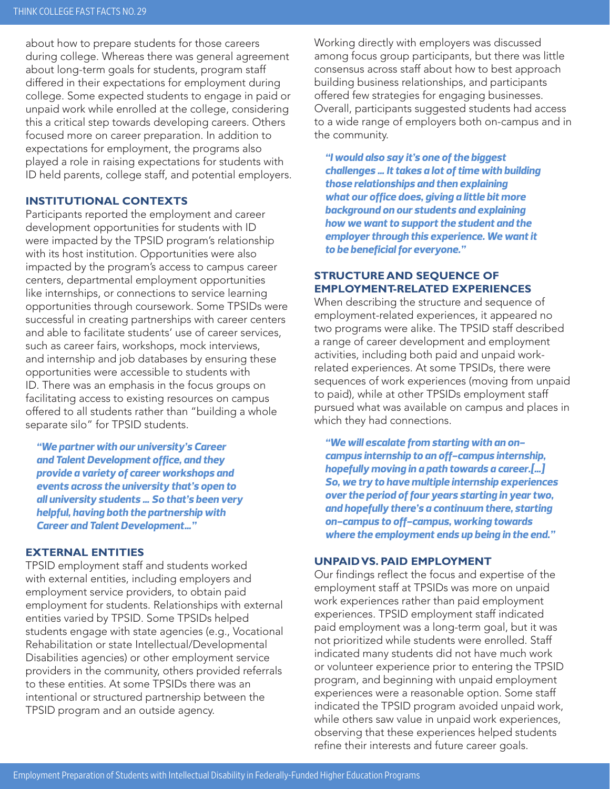about how to prepare students for those careers during college. Whereas there was general agreement about long-term goals for students, program staff differed in their expectations for employment during college. Some expected students to engage in paid or unpaid work while enrolled at the college, considering this a critical step towards developing careers. Others focused more on career preparation. In addition to expectations for employment, the programs also played a role in raising expectations for students with ID held parents, college staff, and potential employers.

#### **INSTITUTIONAL CONTEXTS**

Participants reported the employment and career development opportunities for students with ID were impacted by the TPSID program's relationship with its host institution. Opportunities were also impacted by the program's access to campus career centers, departmental employment opportunities like internships, or connections to service learning opportunities through coursework. Some TPSIDs were successful in creating partnerships with career centers and able to facilitate students' use of career services, such as career fairs, workshops, mock interviews, and internship and job databases by ensuring these opportunities were accessible to students with ID. There was an emphasis in the focus groups on facilitating access to existing resources on campus offered to all students rather than "building a whole separate silo" for TPSID students.

*"We partner with our university's Career and Talent Development office, and they provide a variety of career workshops and events across the university that's open to all university students … So that's been very helpful, having both the partnership with Career and Talent Development…"*

#### **EXTERNAL ENTITIES**

TPSID employment staff and students worked with external entities, including employers and employment service providers, to obtain paid employment for students. Relationships with external entities varied by TPSID. Some TPSIDs helped students engage with state agencies (e.g., Vocational Rehabilitation or state Intellectual/Developmental Disabilities agencies) or other employment service providers in the community, others provided referrals to these entities. At some TPSIDs there was an intentional or structured partnership between the TPSID program and an outside agency.

Working directly with employers was discussed among focus group participants, but there was little consensus across staff about how to best approach building business relationships, and participants offered few strategies for engaging businesses. Overall, participants suggested students had access to a wide range of employers both on-campus and in the community.

*"I would also say it's one of the biggest challenges … It takes a lot of time with building those relationships and then explaining what our office does, giving a little bit more background on our students and explaining how we want to support the student and the employer through this experience. We want it to be beneficial for everyone."*

#### **STRUCTURE AND SEQUENCE OF EMPLOYMENT-RELATED EXPERIENCES**

When describing the structure and sequence of employment-related experiences, it appeared no two programs were alike. The TPSID staff described a range of career development and employment activities, including both paid and unpaid workrelated experiences. At some TPSIDs, there were sequences of work experiences (moving from unpaid to paid), while at other TPSIDs employment staff pursued what was available on campus and places in which they had connections.

*"We will escalate from starting with an oncampus internship to an off-campus internship, hopefully moving in a path towards a career.[…] So, we try to have multiple internship experiences over the period of four years starting in year two, and hopefully there's a continuum there, starting on-campus to off-campus, working towards where the employment ends up being in the end."*

#### **UNPAID VS. PAID EMPLOYMENT**

Our findings reflect the focus and expertise of the employment staff at TPSIDs was more on unpaid work experiences rather than paid employment experiences. TPSID employment staff indicated paid employment was a long-term goal, but it was not prioritized while students were enrolled. Staff indicated many students did not have much work or volunteer experience prior to entering the TPSID program, and beginning with unpaid employment experiences were a reasonable option. Some staff indicated the TPSID program avoided unpaid work, while others saw value in unpaid work experiences, observing that these experiences helped students refine their interests and future career goals.